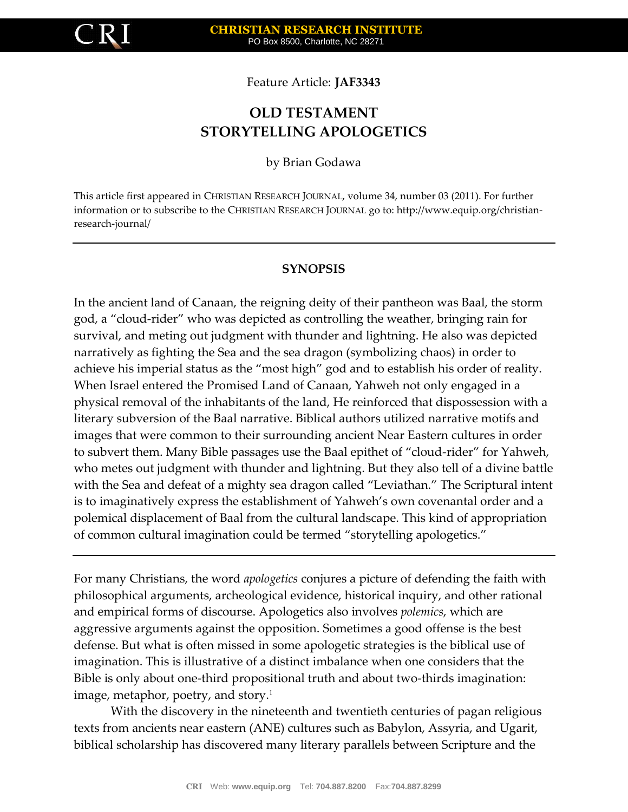

Feature Article: **JAF3343**

# **OLD TESTAMENT STORYTELLING APOLOGETICS**

by Brian Godawa

This article first appeared in CHRISTIAN RESEARCH JOURNAL, volume 34, number 03 (2011). For further information or to subscribe to the CHRISTIAN RESEARCH JOURNAL go to: http://www.equip.org/christianresearch-journal/

# **SYNOPSIS**

In the ancient land of Canaan, the reigning deity of their pantheon was Baal, the storm god, a "cloud-rider" who was depicted as controlling the weather, bringing rain for survival, and meting out judgment with thunder and lightning. He also was depicted narratively as fighting the Sea and the sea dragon (symbolizing chaos) in order to achieve his imperial status as the "most high" god and to establish his order of reality. When Israel entered the Promised Land of Canaan, Yahweh not only engaged in a physical removal of the inhabitants of the land, He reinforced that dispossession with a literary subversion of the Baal narrative. Biblical authors utilized narrative motifs and images that were common to their surrounding ancient Near Eastern cultures in order to subvert them. Many Bible passages use the Baal epithet of "cloud-rider" for Yahweh, who metes out judgment with thunder and lightning. But they also tell of a divine battle with the Sea and defeat of a mighty sea dragon called "Leviathan." The Scriptural intent is to imaginatively express the establishment of Yahweh's own covenantal order and a polemical displacement of Baal from the cultural landscape. This kind of appropriation of common cultural imagination could be termed "storytelling apologetics."

For many Christians, the word *apologetics* conjures a picture of defending the faith with philosophical arguments, archeological evidence, historical inquiry, and other rational and empirical forms of discourse. Apologetics also involves *polemics*, which are aggressive arguments against the opposition. Sometimes a good offense is the best defense. But what is often missed in some apologetic strategies is the biblical use of imagination. This is illustrative of a distinct imbalance when one considers that the Bible is only about one-third propositional truth and about two-thirds imagination: image, metaphor, poetry, and story. 1

With the discovery in the nineteenth and twentieth centuries of pagan religious texts from ancients near eastern (ANE) cultures such as Babylon, Assyria, and Ugarit, biblical scholarship has discovered many literary parallels between Scripture and the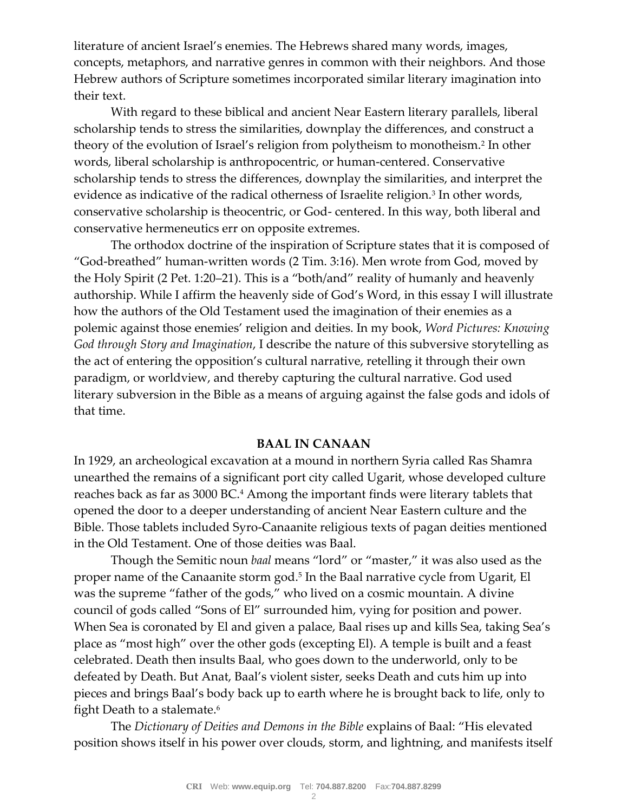literature of ancient Israel's enemies. The Hebrews shared many words, images, concepts, metaphors, and narrative genres in common with their neighbors. And those Hebrew authors of Scripture sometimes incorporated similar literary imagination into their text.

With regard to these biblical and ancient Near Eastern literary parallels, liberal scholarship tends to stress the similarities, downplay the differences, and construct a theory of the evolution of Israel's religion from polytheism to monotheism.<sup>2</sup> In other words, liberal scholarship is anthropocentric, or human-centered. Conservative scholarship tends to stress the differences, downplay the similarities, and interpret the evidence as indicative of the radical otherness of Israelite religion.<sup>3</sup> In other words, conservative scholarship is theocentric, or God- centered. In this way, both liberal and conservative hermeneutics err on opposite extremes.

The orthodox doctrine of the inspiration of Scripture states that it is composed of "God-breathed" human-written words (2 Tim. 3:16). Men wrote from God, moved by the Holy Spirit (2 Pet. 1:20–21). This is a "both/and" reality of humanly and heavenly authorship. While I affirm the heavenly side of God's Word, in this essay I will illustrate how the authors of the Old Testament used the imagination of their enemies as a polemic against those enemies' religion and deities. In my book, *Word Pictures: Knowing God through Story and Imagination*, I describe the nature of this subversive storytelling as the act of entering the opposition's cultural narrative, retelling it through their own paradigm, or worldview, and thereby capturing the cultural narrative. God used literary subversion in the Bible as a means of arguing against the false gods and idols of that time.

#### **BAAL IN CANAAN**

In 1929, an archeological excavation at a mound in northern Syria called Ras Shamra unearthed the remains of a significant port city called Ugarit, whose developed culture reaches back as far as 3000 BC.<sup>4</sup> Among the important finds were literary tablets that opened the door to a deeper understanding of ancient Near Eastern culture and the Bible. Those tablets included Syro-Canaanite religious texts of pagan deities mentioned in the Old Testament. One of those deities was Baal.

Though the Semitic noun *baal* means "lord" or "master," it was also used as the proper name of the Canaanite storm god.<sup>5</sup> In the Baal narrative cycle from Ugarit*,* El was the supreme "father of the gods," who lived on a cosmic mountain. A divine council of gods called "Sons of El" surrounded him, vying for position and power. When Sea is coronated by El and given a palace, Baal rises up and kills Sea, taking Sea's place as "most high" over the other gods (excepting El). A temple is built and a feast celebrated. Death then insults Baal, who goes down to the underworld, only to be defeated by Death. But Anat, Baal's violent sister, seeks Death and cuts him up into pieces and brings Baal's body back up to earth where he is brought back to life, only to fight Death to a stalemate.<sup>6</sup>

The *Dictionary of Deities and Demons in the Bible* explains of Baal: "His elevated position shows itself in his power over clouds, storm, and lightning, and manifests itself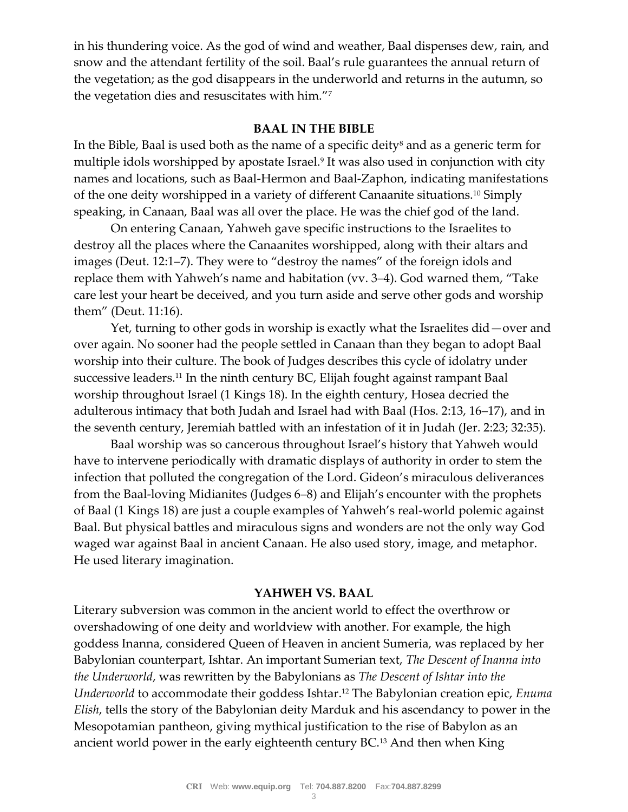in his thundering voice. As the god of wind and weather, Baal dispenses dew, rain, and snow and the attendant fertility of the soil. Baal's rule guarantees the annual return of the vegetation; as the god disappears in the underworld and returns in the autumn, so the vegetation dies and resuscitates with him."<sup>7</sup>

#### **BAAL IN THE BIBLE**

In the Bible, Baal is used both as the name of a specific deity<sup>8</sup> and as a generic term for multiple idols worshipped by apostate Israel.<sup>9</sup> It was also used in conjunction with city names and locations, such as Baal-Hermon and Baal-Zaphon, indicating manifestations of the one deity worshipped in a variety of different Canaanite situations.<sup>10</sup> Simply speaking, in Canaan, Baal was all over the place. He was the chief god of the land.

On entering Canaan, Yahweh gave specific instructions to the Israelites to destroy all the places where the Canaanites worshipped, along with their altars and images (Deut. 12:1–7). They were to "destroy the names" of the foreign idols and replace them with Yahweh's name and habitation (vv. 3–4). God warned them, "Take care lest your heart be deceived, and you turn aside and serve other gods and worship them" (Deut. 11:16).

Yet, turning to other gods in worship is exactly what the Israelites did—over and over again. No sooner had the people settled in Canaan than they began to adopt Baal worship into their culture. The book of Judges describes this cycle of idolatry under successive leaders.<sup>11</sup> In the ninth century BC, Elijah fought against rampant Baal worship throughout Israel (1 Kings 18). In the eighth century, Hosea decried the adulterous intimacy that both Judah and Israel had with Baal (Hos. 2:13, 16–17), and in the seventh century, Jeremiah battled with an infestation of it in Judah (Jer. 2:23; 32:35).

Baal worship was so cancerous throughout Israel's history that Yahweh would have to intervene periodically with dramatic displays of authority in order to stem the infection that polluted the congregation of the Lord. Gideon's miraculous deliverances from the Baal-loving Midianites (Judges 6–8) and Elijah's encounter with the prophets of Baal (1 Kings 18) are just a couple examples of Yahweh's real-world polemic against Baal. But physical battles and miraculous signs and wonders are not the only way God waged war against Baal in ancient Canaan. He also used story, image, and metaphor. He used literary imagination.

### **YAHWEH VS. BAAL**

Literary subversion was common in the ancient world to effect the overthrow or overshadowing of one deity and worldview with another. For example, the high goddess Inanna, considered Queen of Heaven in ancient Sumeria, was replaced by her Babylonian counterpart, Ishtar. An important Sumerian text, *The Descent of Inanna into the Underworld*, was rewritten by the Babylonians as *The Descent of Ishtar into the Underworld* to accommodate their goddess Ishtar.<sup>12</sup> The Babylonian creation epic, *Enuma Elish*, tells the story of the Babylonian deity Marduk and his ascendancy to power in the Mesopotamian pantheon, giving mythical justification to the rise of Babylon as an ancient world power in the early eighteenth century BC.<sup>13</sup> And then when King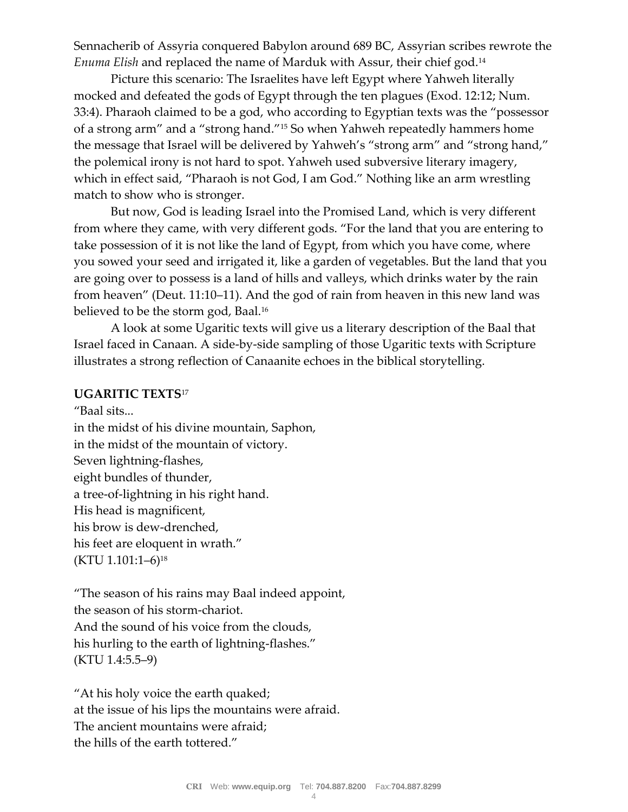Sennacherib of Assyria conquered Babylon around 689 BC, Assyrian scribes rewrote the *Enuma Elish* and replaced the name of Marduk with Assur, their chief god.<sup>14</sup>

Picture this scenario: The Israelites have left Egypt where Yahweh literally mocked and defeated the gods of Egypt through the ten plagues (Exod. 12:12; Num. 33:4). Pharaoh claimed to be a god, who according to Egyptian texts was the "possessor of a strong arm" and a "strong hand."<sup>15</sup> So when Yahweh repeatedly hammers home the message that Israel will be delivered by Yahweh's "strong arm" and "strong hand," the polemical irony is not hard to spot. Yahweh used subversive literary imagery, which in effect said, "Pharaoh is not God, I am God." Nothing like an arm wrestling match to show who is stronger.

But now, God is leading Israel into the Promised Land, which is very different from where they came, with very different gods. "For the land that you are entering to take possession of it is not like the land of Egypt, from which you have come, where you sowed your seed and irrigated it, like a garden of vegetables. But the land that you are going over to possess is a land of hills and valleys, which drinks water by the rain from heaven" (Deut. 11:10–11). And the god of rain from heaven in this new land was believed to be the storm god, Baal.<sup>16</sup>

A look at some Ugaritic texts will give us a literary description of the Baal that Israel faced in Canaan. A side-by-side sampling of those Ugaritic texts with Scripture illustrates a strong reflection of Canaanite echoes in the biblical storytelling.

# **UGARITIC TEXTS**<sup>17</sup>

"Baal sits... in the midst of his divine mountain, Saphon, in the midst of the mountain of victory. Seven lightning-flashes, eight bundles of thunder, a tree-of-lightning in his right hand. His head is magnificent, his brow is dew-drenched, his feet are eloquent in wrath."  $(KTU 1.101:1-6)^{18}$ 

"The season of his rains may Baal indeed appoint, the season of his storm-chariot. And the sound of his voice from the clouds, his hurling to the earth of lightning-flashes." (KTU 1.4:5.5–9)

"At his holy voice the earth quaked; at the issue of his lips the mountains were afraid. The ancient mountains were afraid; the hills of the earth tottered."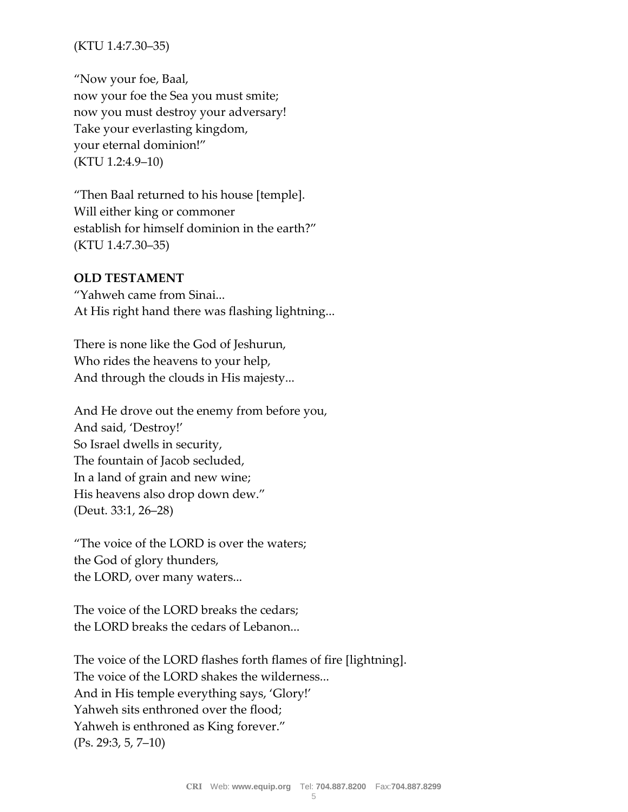# (KTU 1.4:7.30–35)

"Now your foe, Baal, now your foe the Sea you must smite; now you must destroy your adversary! Take your everlasting kingdom, your eternal dominion!" (KTU 1.2:4.9–10)

"Then Baal returned to his house [temple]. Will either king or commoner establish for himself dominion in the earth?" (KTU 1.4:7.30–35)

# **OLD TESTAMENT**

"Yahweh came from Sinai... At His right hand there was flashing lightning...

There is none like the God of Jeshurun, Who rides the heavens to your help, And through the clouds in His majesty...

And He drove out the enemy from before you, And said, 'Destroy!' So Israel dwells in security, The fountain of Jacob secluded, In a land of grain and new wine; His heavens also drop down dew." (Deut. 33:1, 26–28)

"The voice of the LORD is over the waters; the God of glory thunders, the LORD, over many waters...

The voice of the LORD breaks the cedars; the LORD breaks the cedars of Lebanon...

The voice of the LORD flashes forth flames of fire [lightning]. The voice of the LORD shakes the wilderness... And in His temple everything says, 'Glory!' Yahweh sits enthroned over the flood; Yahweh is enthroned as King forever." (Ps. 29:3, 5, 7–10)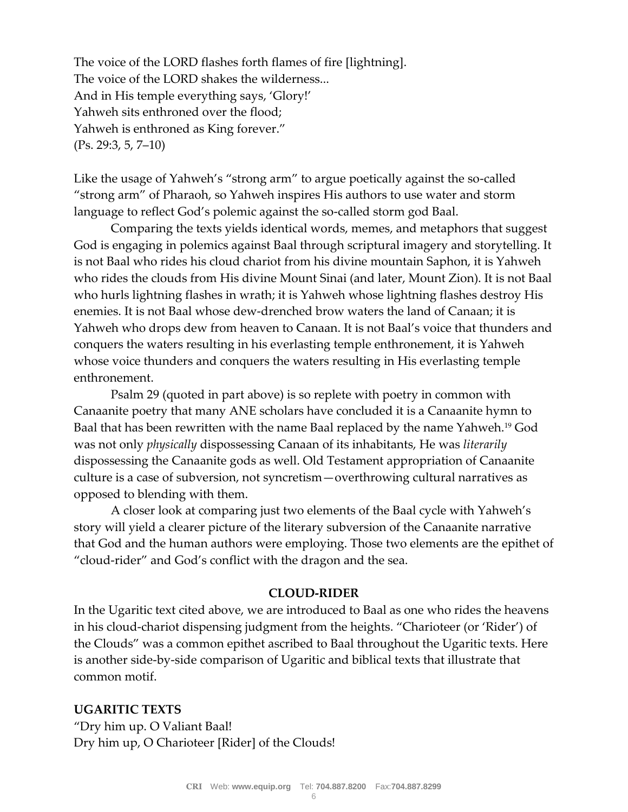The voice of the LORD flashes forth flames of fire [lightning]. The voice of the LORD shakes the wilderness... And in His temple everything says, 'Glory!' Yahweh sits enthroned over the flood; Yahweh is enthroned as King forever." (Ps. 29:3, 5, 7–10)

Like the usage of Yahweh's "strong arm" to argue poetically against the so-called "strong arm" of Pharaoh, so Yahweh inspires His authors to use water and storm language to reflect God's polemic against the so-called storm god Baal.

Comparing the texts yields identical words, memes, and metaphors that suggest God is engaging in polemics against Baal through scriptural imagery and storytelling. It is not Baal who rides his cloud chariot from his divine mountain Saphon, it is Yahweh who rides the clouds from His divine Mount Sinai (and later, Mount Zion). It is not Baal who hurls lightning flashes in wrath; it is Yahweh whose lightning flashes destroy His enemies. It is not Baal whose dew-drenched brow waters the land of Canaan; it is Yahweh who drops dew from heaven to Canaan. It is not Baal's voice that thunders and conquers the waters resulting in his everlasting temple enthronement, it is Yahweh whose voice thunders and conquers the waters resulting in His everlasting temple enthronement.

Psalm 29 (quoted in part above) is so replete with poetry in common with Canaanite poetry that many ANE scholars have concluded it is a Canaanite hymn to Baal that has been rewritten with the name Baal replaced by the name Yahweh.<sup>19</sup> God was not only *physically* dispossessing Canaan of its inhabitants, He was *literarily* dispossessing the Canaanite gods as well. Old Testament appropriation of Canaanite culture is a case of subversion, not syncretism—overthrowing cultural narratives as opposed to blending with them.

A closer look at comparing just two elements of the Baal cycle with Yahweh's story will yield a clearer picture of the literary subversion of the Canaanite narrative that God and the human authors were employing. Those two elements are the epithet of "cloud-rider" and God's conflict with the dragon and the sea.

#### **CLOUD-RIDER**

In the Ugaritic text cited above, we are introduced to Baal as one who rides the heavens in his cloud-chariot dispensing judgment from the heights. "Charioteer (or 'Rider') of the Clouds" was a common epithet ascribed to Baal throughout the Ugaritic texts. Here is another side-by-side comparison of Ugaritic and biblical texts that illustrate that common motif.

#### **UGARITIC TEXTS**

"Dry him up. O Valiant Baal! Dry him up, O Charioteer [Rider] of the Clouds!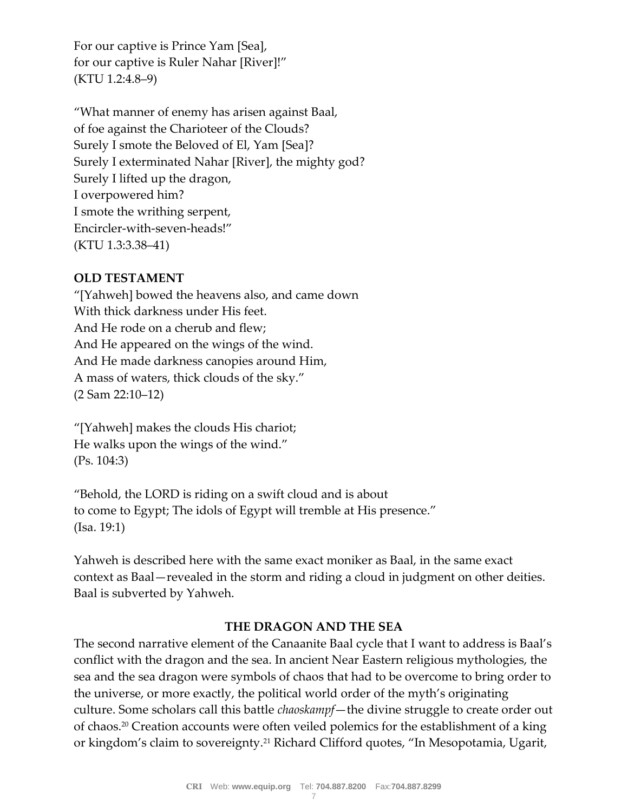For our captive is Prince Yam [Sea], for our captive is Ruler Nahar [River]!" (KTU 1.2:4.8–9)

"What manner of enemy has arisen against Baal, of foe against the Charioteer of the Clouds? Surely I smote the Beloved of El, Yam [Sea]? Surely I exterminated Nahar [River], the mighty god? Surely I lifted up the dragon, I overpowered him? I smote the writhing serpent, Encircler-with-seven-heads!" (KTU 1.3:3.38–41)

# **OLD TESTAMENT**

"[Yahweh] bowed the heavens also, and came down With thick darkness under His feet. And He rode on a cherub and flew; And He appeared on the wings of the wind. And He made darkness canopies around Him, A mass of waters, thick clouds of the sky." (2 Sam 22:10–12)

"[Yahweh] makes the clouds His chariot; He walks upon the wings of the wind." (Ps. 104:3)

"Behold, the LORD is riding on a swift cloud and is about to come to Egypt; The idols of Egypt will tremble at His presence." (Isa. 19:1)

Yahweh is described here with the same exact moniker as Baal, in the same exact context as Baal—revealed in the storm and riding a cloud in judgment on other deities. Baal is subverted by Yahweh.

# **THE DRAGON AND THE SEA**

The second narrative element of the Canaanite Baal cycle that I want to address is Baal's conflict with the dragon and the sea. In ancient Near Eastern religious mythologies, the sea and the sea dragon were symbols of chaos that had to be overcome to bring order to the universe, or more exactly, the political world order of the myth's originating culture. Some scholars call this battle *chaoskampf*—the divine struggle to create order out of chaos.<sup>20</sup> Creation accounts were often veiled polemics for the establishment of a king or kingdom's claim to sovereignty.<sup>21</sup> Richard Clifford quotes, "In Mesopotamia, Ugarit,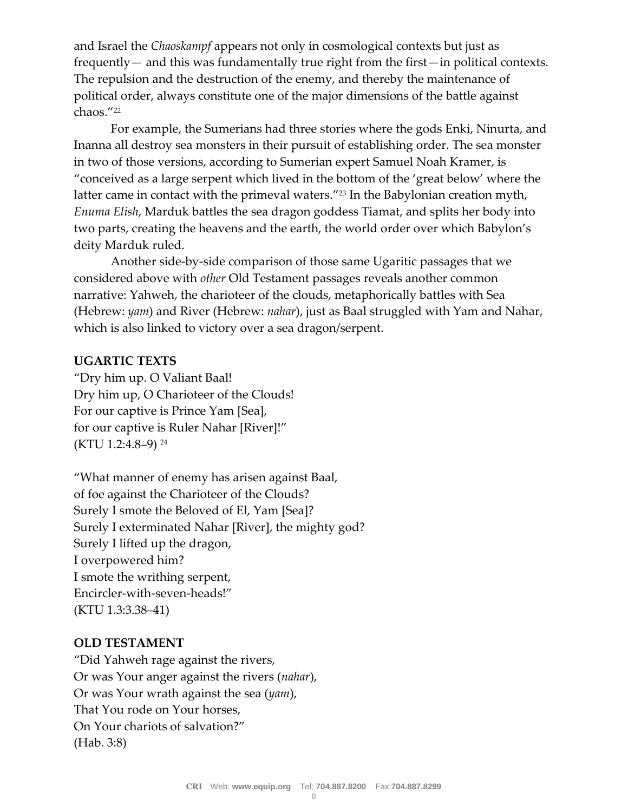and Israel the *Chaoskampf* appears not only in cosmological contexts but just as frequently— and this was fundamentally true right from the first—in political contexts. The repulsion and the destruction of the enemy, and thereby the maintenance of political order, always constitute one of the major dimensions of the battle against chaos."<sup>22</sup>

For example, the Sumerians had three stories where the gods Enki, Ninurta, and Inanna all destroy sea monsters in their pursuit of establishing order. The sea monster in two of those versions, according to Sumerian expert Samuel Noah Kramer, is "conceived as a large serpent which lived in the bottom of the 'great below' where the latter came in contact with the primeval waters."<sup>23</sup> In the Babylonian creation myth, *Enuma Elish*, Marduk battles the sea dragon goddess Tiamat, and splits her body into two parts, creating the heavens and the earth, the world order over which Babylon's deity Marduk ruled.

Another side-by-side comparison of those same Ugaritic passages that we considered above with *other* Old Testament passages reveals another common narrative: Yahweh, the charioteer of the clouds, metaphorically battles with Sea (Hebrew: *yam*) and River (Hebrew: *nahar*), just as Baal struggled with Yam and Nahar, which is also linked to victory over a sea dragon/serpent.

# **UGARTIC TEXTS**

"Dry him up. O Valiant Baal! Dry him up, O Charioteer of the Clouds! For our captive is Prince Yam [Sea], for our captive is Ruler Nahar [River]!"  $(KTU 1.2:4.8-9)$ <sup>24</sup>

"What manner of enemy has arisen against Baal, of foe against the Charioteer of the Clouds? Surely I smote the Beloved of El, Yam [Sea]? Surely I exterminated Nahar [River], the mighty god? Surely I lifted up the dragon, I overpowered him? I smote the writhing serpent, Encircler-with-seven-heads!" (KTU 1.3:3.38–41)

# **OLD TESTAMENT**

"Did Yahweh rage against the rivers, Or was Your anger against the rivers (*nahar*), Or was Your wrath against the sea (*yam*), That You rode on Your horses, On Your chariots of salvation?" (Hab. 3:8)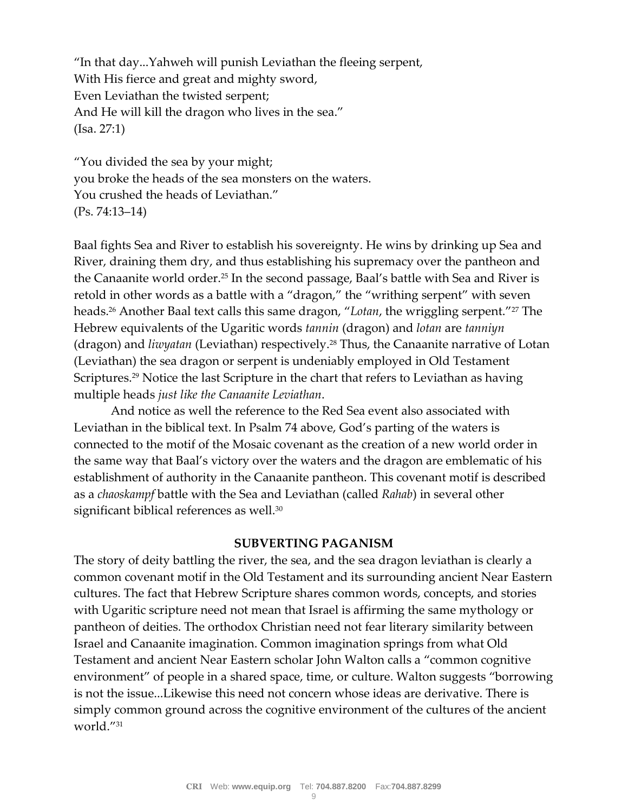"In that day...Yahweh will punish Leviathan the fleeing serpent, With His fierce and great and mighty sword, Even Leviathan the twisted serpent; And He will kill the dragon who lives in the sea." (Isa. 27:1)

"You divided the sea by your might; you broke the heads of the sea monsters on the waters. You crushed the heads of Leviathan." (Ps. 74:13–14)

Baal fights Sea and River to establish his sovereignty. He wins by drinking up Sea and River, draining them dry, and thus establishing his supremacy over the pantheon and the Canaanite world order.<sup>25</sup> In the second passage, Baal's battle with Sea and River is retold in other words as a battle with a "dragon," the "writhing serpent" with seven heads.<sup>26</sup> Another Baal text calls this same dragon, "*Lotan*, the wriggling serpent."<sup>27</sup> The Hebrew equivalents of the Ugaritic words *tannin* (dragon) and *lotan* are *tanniyn* (dragon) and *liwyatan* (Leviathan) respectively.<sup>28</sup> Thus, the Canaanite narrative of Lotan (Leviathan) the sea dragon or serpent is undeniably employed in Old Testament Scriptures.<sup>29</sup> Notice the last Scripture in the chart that refers to Leviathan as having multiple heads *just like the Canaanite Leviathan*.

And notice as well the reference to the Red Sea event also associated with Leviathan in the biblical text. In Psalm 74 above, God's parting of the waters is connected to the motif of the Mosaic covenant as the creation of a new world order in the same way that Baal's victory over the waters and the dragon are emblematic of his establishment of authority in the Canaanite pantheon. This covenant motif is described as a *chaoskampf* battle with the Sea and Leviathan (called *Rahab*) in several other significant biblical references as well.<sup>30</sup>

# **SUBVERTING PAGANISM**

The story of deity battling the river, the sea, and the sea dragon leviathan is clearly a common covenant motif in the Old Testament and its surrounding ancient Near Eastern cultures. The fact that Hebrew Scripture shares common words, concepts, and stories with Ugaritic scripture need not mean that Israel is affirming the same mythology or pantheon of deities. The orthodox Christian need not fear literary similarity between Israel and Canaanite imagination. Common imagination springs from what Old Testament and ancient Near Eastern scholar John Walton calls a "common cognitive environment" of people in a shared space, time, or culture. Walton suggests "borrowing is not the issue...Likewise this need not concern whose ideas are derivative. There is simply common ground across the cognitive environment of the cultures of the ancient world."31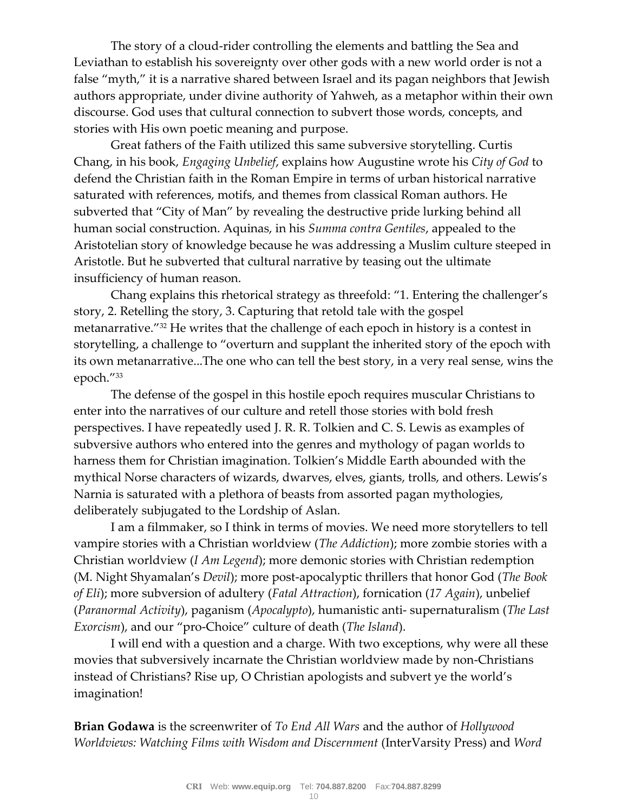The story of a cloud-rider controlling the elements and battling the Sea and Leviathan to establish his sovereignty over other gods with a new world order is not a false "myth," it is a narrative shared between Israel and its pagan neighbors that Jewish authors appropriate, under divine authority of Yahweh, as a metaphor within their own discourse. God uses that cultural connection to subvert those words, concepts, and stories with His own poetic meaning and purpose.

Great fathers of the Faith utilized this same subversive storytelling. Curtis Chang, in his book, *Engaging Unbelief*, explains how Augustine wrote his *City of God* to defend the Christian faith in the Roman Empire in terms of urban historical narrative saturated with references, motifs, and themes from classical Roman authors. He subverted that "City of Man" by revealing the destructive pride lurking behind all human social construction. Aquinas, in his *Summa contra Gentiles*, appealed to the Aristotelian story of knowledge because he was addressing a Muslim culture steeped in Aristotle. But he subverted that cultural narrative by teasing out the ultimate insufficiency of human reason.

Chang explains this rhetorical strategy as threefold: "1. Entering the challenger's story, 2. Retelling the story, 3. Capturing that retold tale with the gospel metanarrative."<sup>32</sup> He writes that the challenge of each epoch in history is a contest in storytelling, a challenge to "overturn and supplant the inherited story of the epoch with its own metanarrative...The one who can tell the best story, in a very real sense, wins the epoch."<sup>33</sup>

The defense of the gospel in this hostile epoch requires muscular Christians to enter into the narratives of our culture and retell those stories with bold fresh perspectives. I have repeatedly used J. R. R. Tolkien and C. S. Lewis as examples of subversive authors who entered into the genres and mythology of pagan worlds to harness them for Christian imagination. Tolkien's Middle Earth abounded with the mythical Norse characters of wizards, dwarves, elves, giants, trolls, and others. Lewis's Narnia is saturated with a plethora of beasts from assorted pagan mythologies, deliberately subjugated to the Lordship of Aslan.

I am a filmmaker, so I think in terms of movies. We need more storytellers to tell vampire stories with a Christian worldview (*The Addiction*); more zombie stories with a Christian worldview (*I Am Legend*); more demonic stories with Christian redemption (M. Night Shyamalan's *Devil*); more post-apocalyptic thrillers that honor God (*The Book of Eli*); more subversion of adultery (*Fatal Attraction*), fornication (*17 Again*), unbelief (*Paranormal Activity*), paganism (*Apocalypto*), humanistic anti- supernaturalism (*The Last Exorcism*), and our "pro-Choice" culture of death (*The Island*).

I will end with a question and a charge. With two exceptions, why were all these movies that subversively incarnate the Christian worldview made by non-Christians instead of Christians? Rise up, O Christian apologists and subvert ye the world's imagination!

**Brian Godawa** is the screenwriter of *To End All Wars* and the author of *Hollywood Worldviews: Watching Films with Wisdom and Discernment* (InterVarsity Press) and *Word*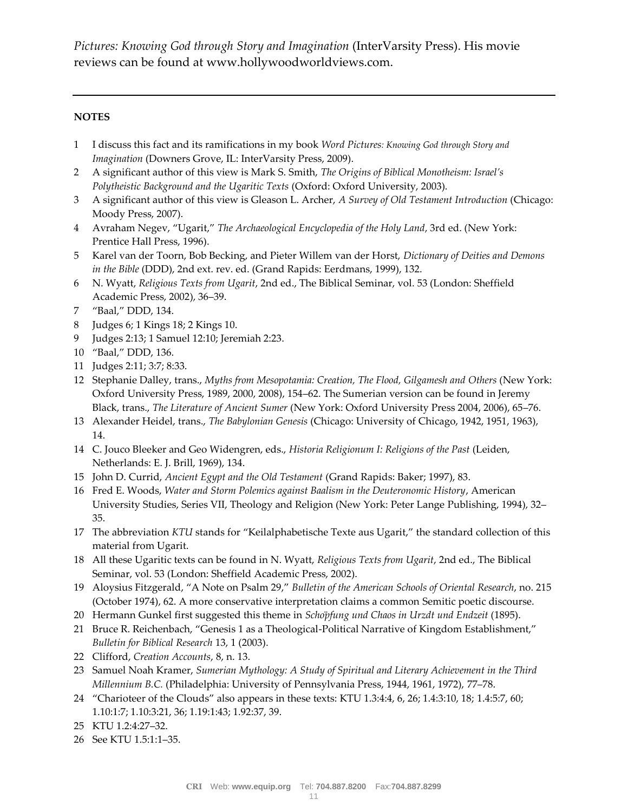*Pictures: Knowing God through Story and Imagination* (InterVarsity Press). His movie reviews can be found at www.hollywoodworldviews.com.

#### **NOTES**

- 1 I discuss this fact and its ramifications in my book *Word Pictures: Knowing God through Story and Imagination* (Downers Grove, IL: InterVarsity Press, 2009).
- 2 A significant author of this view is Mark S. Smith, *The Origins of Biblical Monotheism: Israel's Polytheistic Background and the Ugaritic Texts* (Oxford: Oxford University, 2003).
- 3 A significant author of this view is Gleason L. Archer, *A Survey of Old Testament Introduction* (Chicago: Moody Press, 2007).
- 4 Avraham Negev, "Ugarit," *The Archaeological Encyclopedia of the Holy Land*, 3rd ed. (New York: Prentice Hall Press, 1996).
- 5 Karel van der Toorn, Bob Becking, and Pieter Willem van der Horst, *Dictionary of Deities and Demons in the Bible* (DDD), 2nd ext. rev. ed. (Grand Rapids: Eerdmans, 1999), 132.
- 6 N. Wyatt, *Religious Texts from Ugarit*, 2nd ed., The Biblical Seminar, vol. 53 (London: Sheffield Academic Press, 2002), 36–39.
- 7 "Baal," DDD, 134.
- 8 Judges 6; 1 Kings 18; 2 Kings 10.
- 9 Judges 2:13; 1 Samuel 12:10; Jeremiah 2:23.
- 10 "Baal," DDD, 136.
- 11 Judges 2:11; 3:7; 8:33.
- 12 Stephanie Dalley, trans., *Myths from Mesopotamia: Creation, The Flood, Gilgamesh and Others* (New York: Oxford University Press, 1989, 2000, 2008), 154–62. The Sumerian version can be found in Jeremy Black, trans., *The Literature of Ancient Sumer* (New York: Oxford University Press 2004, 2006), 65–76.
- 13 Alexander Heidel, trans., *The Babylonian Genesis* (Chicago: University of Chicago, 1942, 1951, 1963), 14.
- 14 C. Jouco Bleeker and Geo Widengren, eds., *Historia Religionum I: Religions of the Past* (Leiden, Netherlands: E. J. Brill, 1969), 134.
- 15 John D. Currid, *Ancient Egypt and the Old Testament* (Grand Rapids: Baker; 1997), 83.
- 16 Fred E. Woods, *Water and Storm Polemics against Baalism in the Deuteronomic History*, American University Studies, Series VII, Theology and Religion (New York: Peter Lange Publishing, 1994), 32– 35.
- 17 The abbreviation *KTU* stands for "Keilalphabetische Texte aus Ugarit," the standard collection of this material from Ugarit.
- 18 All these Ugaritic texts can be found in N. Wyatt, *Religious Texts from Ugarit*, 2nd ed., The Biblical Seminar, vol. 53 (London: Sheffield Academic Press, 2002).
- 19 Aloysius Fitzgerald, "A Note on Psalm 29," *Bulletin of the American Schools of Oriental Research*, no. 215 (October 1974), 62. A more conservative interpretation claims a common Semitic poetic discourse.
- 20 Hermann Gunkel first suggested this theme in *Schopfung und Chaos in Urzdt und Endzeit* (1895).
- 21 Bruce R. Reichenbach, "Genesis 1 as a Theological-Political Narrative of Kingdom Establishment," *Bulletin for Biblical Research* 13, 1 (2003).
- 22 Clifford, *Creation Accounts*, 8, n. 13.
- 23 Samuel Noah Kramer, *Sumerian Mythology: A Study of Spiritual and Literary Achievement in the Third Millennium B.C.* (Philadelphia: University of Pennsylvania Press, 1944, 1961, 1972), 77–78.
- 24 "Charioteer of the Clouds" also appears in these texts: KTU 1.3:4:4, 6, 26; 1.4:3:10, 18; 1.4:5:7, 60; 1.10:1:7; 1.10:3:21, 36; 1.19:1:43; 1.92:37, 39.
- 25 KTU 1.2:4:27–32.
- 26 See KTU 1.5:1:1–35.